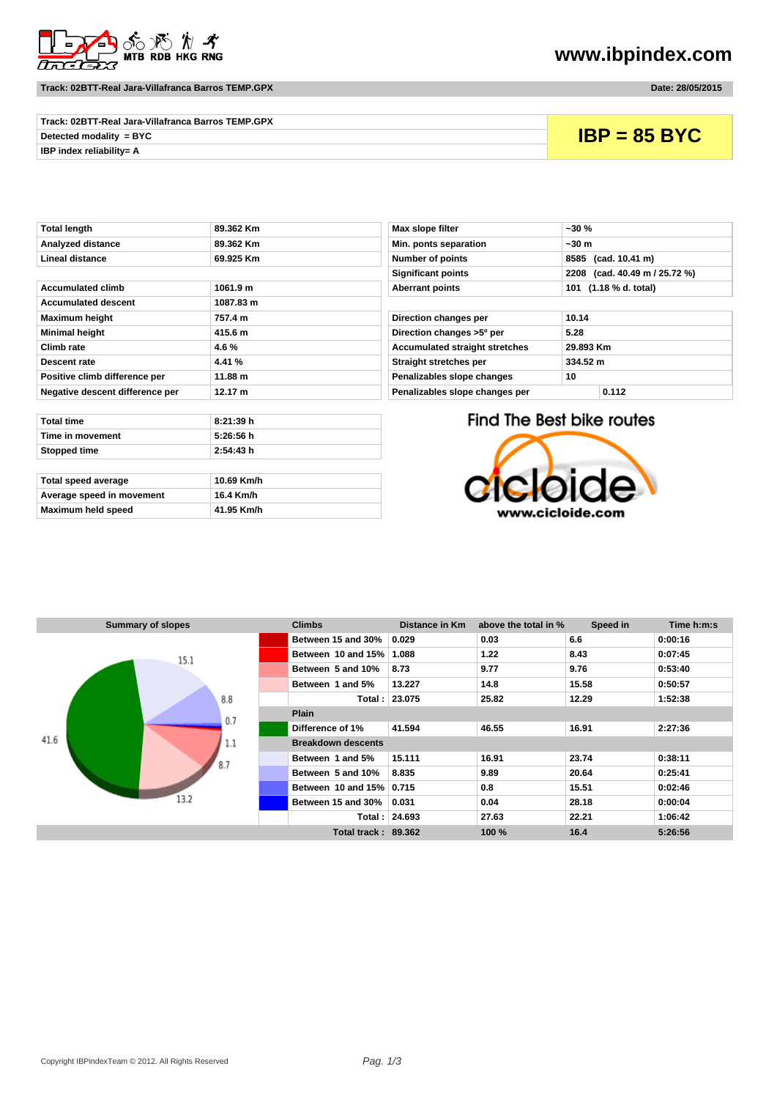

**Track: 02BTT-Real Jara-Villafranca Barros TEMP.GPX Date: 28/05/2015**

## **www.ibpindex.com**

| Track: 02BTT-Real Jara-Villafranca Barros TEMP.GPX |                |
|----------------------------------------------------|----------------|
| Detected modality = $BYC$                          | $IBP = 85 BYC$ |
| IBP index reliability= A                           |                |

| Total length                    | 89.362 Km | Max slope filter                      | ~30 %                     |
|---------------------------------|-----------|---------------------------------------|---------------------------|
| Analyzed distance               | 89.362 Km | Min. ponts separation                 | ~30 m                     |
| <b>Lineal distance</b>          | 69.925 Km | Number of points                      | 8585 (cad. 10.41 m)       |
|                                 |           | <b>Significant points</b>             | 2208 (cad. 40.49 m)       |
| <b>Accumulated climb</b>        | 1061.9 m  | <b>Aberrant points</b>                | 101 (1.18 % d. total)     |
| <b>Accumulated descent</b>      | 1087.83 m |                                       |                           |
| <b>Maximum height</b>           | 757.4 m   | Direction changes per                 | 10.14                     |
| <b>Minimal height</b>           | 415.6 m   | Direction changes >5° per             | 5.28                      |
| Climb rate                      | 4.6%      | <b>Accumulated straight stretches</b> | 29.893 Km                 |
| <b>Descent rate</b>             | 4.41 %    | Straight stretches per                | 334.52 m                  |
| Positive climb difference per   | 11.88 m   | Penalizables slope changes            | 10                        |
| Negative descent difference per | 12.17 m   | Penalizables slope changes per        | 0.112                     |
|                                 |           |                                       |                           |
| <b>Total time</b>               | 8:21:39 h |                                       | Find The Best bike routes |
| Time in movement                | 5:26:56 h |                                       |                           |
| Stopped time                    | 2:54:43 h |                                       |                           |

| Total speed average       | 10.69 Km/h |
|---------------------------|------------|
| Average speed in movement | 16.4 Km/h  |
| Maximum held speed        | 41.95 Km/h |

| <b>Max slope filter</b>               | ~30 %                         |  |  |
|---------------------------------------|-------------------------------|--|--|
| Min. ponts separation                 | $~1$ -30 m                    |  |  |
| <b>Number of points</b>               | 8585 (cad. 10.41 m)           |  |  |
| <b>Significant points</b>             | 2208 (cad. 40.49 m / 25.72 %) |  |  |
| <b>Aberrant points</b>                | 101 (1.18 % d. total)         |  |  |
|                                       |                               |  |  |
| Direction changes per                 | 10.14                         |  |  |
| Direction changes >5° per             | 5.28                          |  |  |
| <b>Accumulated straight stretches</b> | 29.893 Km                     |  |  |
| Straight stretches per                | 334.52 m                      |  |  |
| Penalizables slope changes            | 10                            |  |  |
| Penalizables slope changes per        | 0.112                         |  |  |

Find The Best bike routes



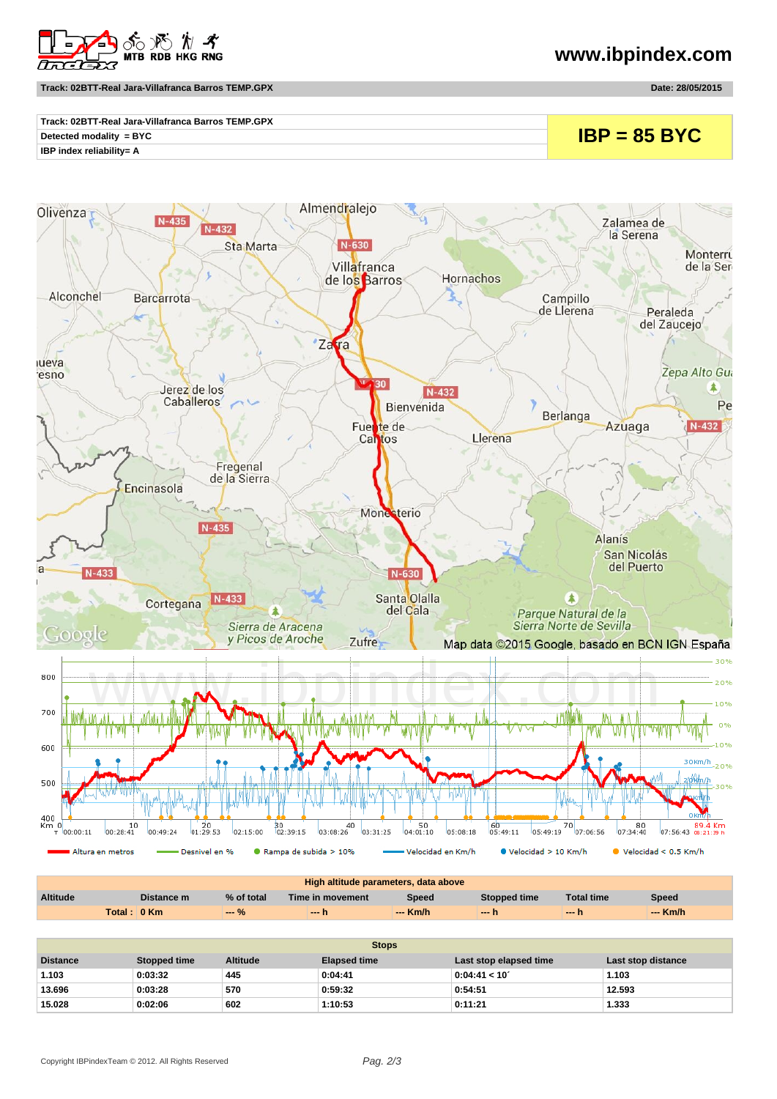

## **Track: 02BTT-Real Jara-Villafranca Barros TEMP.GPX Date: 28/05/2015**

**www.ibpindex.com**

| Track: 02BTT-Real Jara-Villafranca Barros TEMP.GPX | $IBP = 85 BYC$ |
|----------------------------------------------------|----------------|
| Detected modality = BYC                            |                |
| IBP index reliability= A                           |                |



| High altitude parameters, data above |             |                |                  |          |              |                   |          |
|--------------------------------------|-------------|----------------|------------------|----------|--------------|-------------------|----------|
| <b>Altitude</b>                      | Distance m  | % of total     | Time in movement | Speed    | Stopped time | <b>Total time</b> | Speed    |
|                                      | Total: 0 Km | <b>Service</b> | — h              | --- Km/h | $-1$         | $-1$              | $-$ Km/h |

| <b>Stops</b>    |              |                 |                     |                        |                    |  |
|-----------------|--------------|-----------------|---------------------|------------------------|--------------------|--|
| <b>Distance</b> | Stopped time | <b>Altitude</b> | <b>Elapsed time</b> | Last stop elapsed time | Last stop distance |  |
| 1.103           | 0:03:32      | 445             | 0:04:41             | 0:04:41 < 10'          | 1.103              |  |
| 13.696          | 0:03:28      | 570             | 0:59:32             | 0:54:51                | 12.593             |  |
| 15.028          | 0:02:06      | 602             | 1:10:53             | 0:11:21                | 1.333              |  |